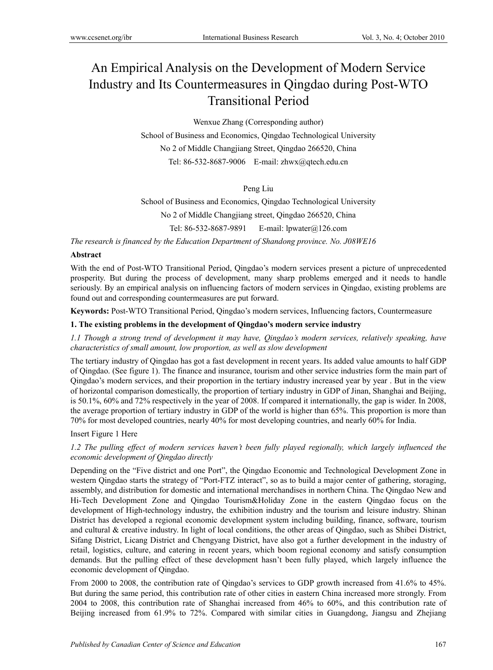# An Empirical Analysis on the Development of Modern Service Industry and Its Countermeasures in Qingdao during Post-WTO Transitional Period

Wenxue Zhang (Corresponding author)

School of Business and Economics, Qingdao Technological University No 2 of Middle Changjiang Street, Qingdao 266520, China Tel: 86-532-8687-9006 E-mail: zhwx@qtech.edu.cn

Peng Liu

School of Business and Economics, Qingdao Technological University No 2 of Middle Changjiang street, Qingdao 266520, China

Tel: 86-532-8687-9891 E-mail: lpwater@126.com

*The research is financed by the Education Department of Shandong province. No. J08WE16* 

## **Abstract**

With the end of Post-WTO Transitional Period, Qingdao's modern services present a picture of unprecedented prosperity. But during the process of development, many sharp problems emerged and it needs to handle seriously. By an empirical analysis on influencing factors of modern services in Qingdao, existing problems are found out and corresponding countermeasures are put forward.

**Keywords:** Post-WTO Transitional Period, Qingdao's modern services, Influencing factors, Countermeasure

## **1. The existing problems in the development of Qingdao's modern service industry**

*1.1 Though a strong trend of development it may have, Qingdao's modern services, relatively speaking, have characteristics of small amount, low proportion, as well as slow development*

The tertiary industry of Qingdao has got a fast development in recent years. Its added value amounts to half GDP of Qingdao. (See figure 1). The finance and insurance, tourism and other service industries form the main part of Qingdao's modern services, and their proportion in the tertiary industry increased year by year . But in the view of horizontal comparison domestically, the proportion of tertiary industry in GDP of Jinan, Shanghai and Beijing, is 50.1%, 60% and 72% respectively in the year of 2008. If compared it internationally, the gap is wider. In 2008, the average proportion of tertiary industry in GDP of the world is higher than 65%. This proportion is more than 70% for most developed countries, nearly 40% for most developing countries, and nearly 60% for India.

Insert Figure 1 Here

*1.2 The pulling effect of modern services haven't been fully played regionally, which largely influenced the economic development of Qingdao directly* 

Depending on the "Five district and one Port", the Qingdao Economic and Technological Development Zone in western Qingdao starts the strategy of "Port-FTZ interact", so as to build a major center of gathering, storaging, assembly, and distribution for domestic and international merchandises in northern China. The Qingdao New and Hi-Tech Development Zone and Qingdao Tourism&Holiday Zone in the eastern Qingdao focus on the development of High-technology industry, the exhibition industry and the tourism and leisure industry. Shinan District has developed a regional economic development system including building, finance, software, tourism and cultural & creative industry. In light of local conditions, the other areas of Qingdao, such as Shibei District, Sifang District, Licang District and Chengyang District, have also got a further development in the industry of retail, logistics, culture, and catering in recent years, which boom regional economy and satisfy consumption demands. But the pulling effect of these development hasn't been fully played, which largely influence the economic development of Qingdao.

From 2000 to 2008, the contribution rate of Qingdao's services to GDP growth increased from 41.6% to 45%. But during the same period, this contribution rate of other cities in eastern China increased more strongly. From 2004 to 2008, this contribution rate of Shanghai increased from 46% to 60%, and this contribution rate of Beijing increased from 61.9% to 72%. Compared with similar cities in Guangdong, Jiangsu and Zhejiang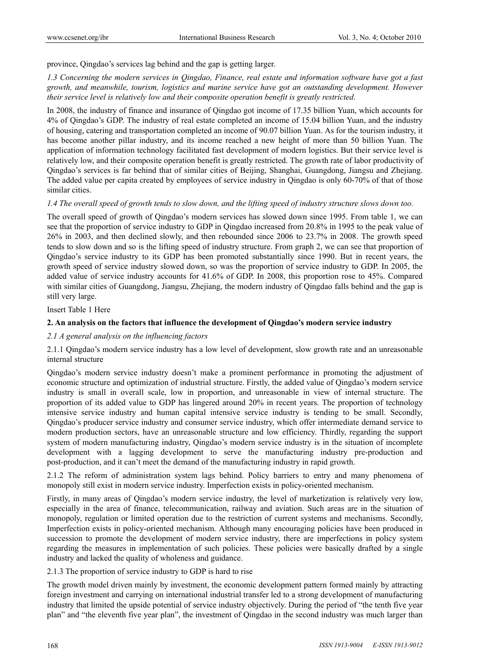province, Qingdao's services lag behind and the gap is getting larger.

*1.3 Concerning the modern services in Qingdao, Finance, real estate and information software have got a fast growth, and meanwhile, tourism, logistics and marine service have got an outstanding development. However their service level is relatively low and their composite operation benefit is greatly restricted.* 

In 2008, the industry of finance and insurance of Qingdao got income of 17.35 billion Yuan, which accounts for 4% of Qingdao's GDP. The industry of real estate completed an income of 15.04 billion Yuan, and the industry of housing, catering and transportation completed an income of 90.07 billion Yuan. As for the tourism industry, it has become another pillar industry, and its income reached a new height of more than 50 billion Yuan. The application of information technology facilitated fast development of modern logistics. But their service level is relatively low, and their composite operation benefit is greatly restricted. The growth rate of labor productivity of Qingdao's services is far behind that of similar cities of Beijing, Shanghai, Guangdong, Jiangsu and Zhejiang. The added value per capita created by employees of service industry in Qingdao is only 60-70% of that of those similar cities.

#### *1.4 The overall speed of growth tends to slow down, and the lifting speed of industry structure slows down too.*

The overall speed of growth of Qingdao's modern services has slowed down since 1995. From table 1, we can see that the proportion of service industry to GDP in Qingdao increased from 20.8% in 1995 to the peak value of 26% in 2003, and then declined slowly, and then rebounded since 2006 to 23.7% in 2008. The growth speed tends to slow down and so is the lifting speed of industry structure. From graph 2, we can see that proportion of Qingdao's service industry to its GDP has been promoted substantially since 1990. But in recent years, the growth speed of service industry slowed down, so was the proportion of service industry to GDP. In 2005, the added value of service industry accounts for 41.6% of GDP. In 2008, this proportion rose to 45%. Compared with similar cities of Guangdong, Jiangsu, Zhejiang, the modern industry of Qingdao falls behind and the gap is still very large.

Insert Table 1 Here

#### **2. An analysis on the factors that influence the development of Qingdao's modern service industry**

#### *2.1 A general analysis on the influencing factors*

2.1.1 Qingdao's modern service industry has a low level of development, slow growth rate and an unreasonable internal structure

Qingdao's modern service industry doesn't make a prominent performance in promoting the adjustment of economic structure and optimization of industrial structure. Firstly, the added value of Qingdao's modern service industry is small in overall scale, low in proportion, and unreasonable in view of internal structure. The proportion of its added value to GDP has lingered around 20% in recent years. The proportion of technology intensive service industry and human capital intensive service industry is tending to be small. Secondly, Qingdao's producer service industry and consumer service industry, which offer intermediate demand service to modern production sectors, have an unreasonable structure and low efficiency. Thirdly, regarding the support system of modern manufacturing industry, Qingdao's modern service industry is in the situation of incomplete development with a lagging development to serve the manufacturing industry pre-production and post-production, and it can't meet the demand of the manufacturing industry in rapid growth.

2.1.2 The reform of administration system lags behind. Policy barriers to entry and many phenomena of monopoly still exist in modern service industry. Imperfection exists in policy-oriented mechanism.

Firstly, in many areas of Qingdao's modern service industry, the level of marketization is relatively very low, especially in the area of finance, telecommunication, railway and aviation. Such areas are in the situation of monopoly, regulation or limited operation due to the restriction of current systems and mechanisms. Secondly, Imperfection exists in policy-oriented mechanism. Although many encouraging policies have been produced in succession to promote the development of modern service industry, there are imperfections in policy system regarding the measures in implementation of such policies. These policies were basically drafted by a single industry and lacked the quality of wholeness and guidance.

2.1.3 The proportion of service industry to GDP is hard to rise

The growth model driven mainly by investment, the economic development pattern formed mainly by attracting foreign investment and carrying on international industrial transfer led to a strong development of manufacturing industry that limited the upside potential of service industry objectively. During the period of "the tenth five year plan" and "the eleventh five year plan", the investment of Qingdao in the second industry was much larger than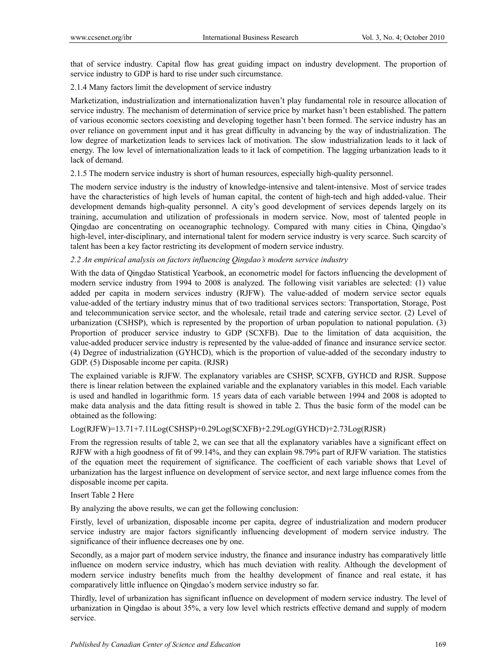that of service industry. Capital flow has great guiding impact on industry development. The proportion of service industry to GDP is hard to rise under such circumstance.

2.1.4 Many factors limit the development of service industry

Marketization, industrialization and internationalization haven't play fundamental role in resource allocation of service industry. The mechanism of determination of service price by market hasn't been established. The pattern of various economic sectors coexisting and developing together hasn't been formed. The service industry has an over reliance on government input and it has great difficulty in advancing by the way of industrialization. The low degree of marketization leads to services lack of motivation. The slow industrialization leads to it lack of energy. The low level of internationalization leads to it lack of competition. The lagging urbanization leads to it lack of demand.

2.1.5 The modern service industry is short of human resources, especially high-quality personnel.

The modern service industry is the industry of knowledge-intensive and talent-intensive. Most of service trades have the characteristics of high levels of human capital, the content of high-tech and high added-value. Their development demands high-quality personnel. A city's good development of services depends largely on its training, accumulation and utilization of professionals in modern service. Now, most of talented people in Qingdao are concentrating on oceanographic technology. Compared with many cities in China, Qingdao's high-level, inter-disciplinary, and international talent for modern service industry is very scarce. Such scarcity of talent has been a key factor restricting its development of modern service industry.

#### *2.2 An empirical analysis on factors influencing Qingdao's modern service industry*

With the data of Qingdao Statistical Yearbook, an econometric model for factors influencing the development of modern service industry from 1994 to 2008 is analyzed. The following visit variables are selected: (1) value added per capita in modern services industry (RJFW). The value-added of modern service sector equals value-added of the tertiary industry minus that of two traditional services sectors: Transportation, Storage, Post and telecommunication service sector, and the wholesale, retail trade and catering service sector. (2) Level of urbanization (CSHSP), which is represented by the proportion of urban population to national population. (3) Proportion of producer service industry to GDP (SCXFB). Due to the limitation of data acquisition, the value-added producer service industry is represented by the value-added of finance and insurance service sector. (4) Degree of industrialization (GYHCD), which is the proportion of value-added of the secondary industry to GDP. (5) Disposable income per capita. (RJSR)

The explained variable is RJFW. The explanatory variables are CSHSP, SCXFB, GYHCD and RJSR. Suppose there is linear relation between the explained variable and the explanatory variables in this model. Each variable is used and handled in logarithmic form. 15 years data of each variable between 1994 and 2008 is adopted to make data analysis and the data fitting result is showed in table 2. Thus the basic form of the model can be obtained as the following:

## Log(RJFW)=13.71+7.11Log(CSHSP)+0.29Log(SCXFB)+2.29Log(GYHCD)+2.73Log(RJSR)

From the regression results of table 2, we can see that all the explanatory variables have a significant effect on RJFW with a high goodness of fit of 99.14%, and they can explain 98.79% part of RJFW variation. The statistics of the equation meet the requirement of significance. The coefficient of each variable shows that Level of urbanization has the largest influence on development of service sector, and next large influence comes from the disposable income per capita.

#### Insert Table 2 Here

By analyzing the above results, we can get the following conclusion:

Firstly, level of urbanization, disposable income per capita, degree of industrialization and modern producer service industry are major factors significantly influencing development of modern service industry. The significance of their influence decreases one by one.

Secondly, as a major part of modern service industry, the finance and insurance industry has comparatively little influence on modern service industry, which has much deviation with reality. Although the development of modern service industry benefits much from the healthy development of finance and real estate, it has comparatively little influence on Qingdao's modern service industry so far.

Thirdly, level of urbanization has significant influence on development of modern service industry. The level of urbanization in Qingdao is about 35%, a very low level which restricts effective demand and supply of modern service.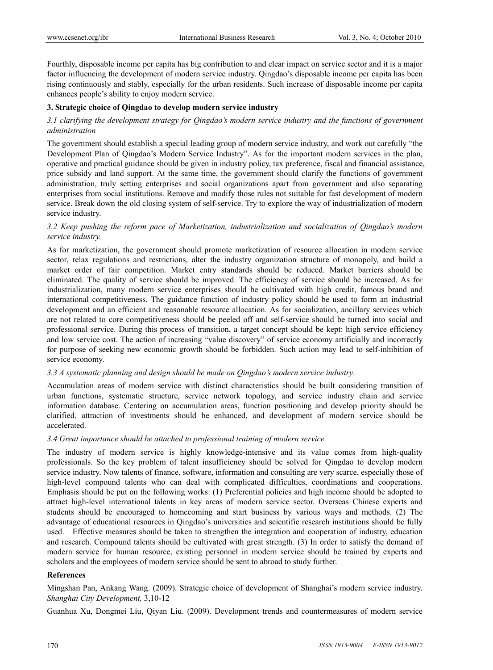Fourthly, disposable income per capita has big contribution to and clear impact on service sector and it is a major factor influencing the development of modern service industry. Qingdao's disposable income per capita has been rising continuously and stably, especially for the urban residents. Such increase of disposable income per capita enhances people's ability to enjoy modern service.

#### **3. Strategic choice of Qingdao to develop modern service industry**

### *3.1 clarifying the development strategy for Qingdao's modern service industry and the functions of government administration*

The government should establish a special leading group of modern service industry, and work out carefully "the Development Plan of Qingdao's Modern Service Industry". As for the important modern services in the plan, operative and practical guidance should be given in industry policy, tax preference, fiscal and financial assistance, price subsidy and land support. At the same time, the government should clarify the functions of government administration, truly setting enterprises and social organizations apart from government and also separating enterprises from social institutions. Remove and modify those rules not suitable for fast development of modern service. Break down the old closing system of self-service. Try to explore the way of industrialization of modern service industry.

## *3.2 Keep pushing the reform pace of Marketization, industrialization and socialization of Qingdao's modern service industry.*

As for marketization, the government should promote marketization of resource allocation in modern service sector, relax regulations and restrictions, alter the industry organization structure of monopoly, and build a market order of fair competition. Market entry standards should be reduced. Market barriers should be eliminated. The quality of service should be improved. The efficiency of service should be increased. As for industrialization, many modern service enterprises should be cultivated with high credit, famous brand and international competitiveness. The guidance function of industry policy should be used to form an industrial development and an efficient and reasonable resource allocation. As for socialization, ancillary services which are not related to core competitiveness should be peeled off and self-service should be turned into social and professional service. During this process of transition, a target concept should be kept: high service efficiency and low service cost. The action of increasing "value discovery" of service economy artificially and incorrectly for purpose of seeking new economic growth should be forbidden. Such action may lead to self-inhibition of service economy.

#### *3.3 A systematic planning and design should be made on Qingdao's modern service industry.*

Accumulation areas of modern service with distinct characteristics should be built considering transition of urban functions, systematic structure, service network topology, and service industry chain and service information database. Centering on accumulation areas, function positioning and develop priority should be clarified, attraction of investments should be enhanced, and development of modern service should be accelerated.

#### *3.4 Great importance should be attached to professional training of modern service.*

The industry of modern service is highly knowledge-intensive and its value comes from high-quality professionals. So the key problem of talent insufficiency should be solved for Qingdao to develop modern service industry. Now talents of finance, software, information and consulting are very scarce, especially those of high-level compound talents who can deal with complicated difficulties, coordinations and cooperations. Emphasis should be put on the following works: (1) Preferential policies and high income should be adopted to attract high-level international talents in key areas of modern service sector. Overseas Chinese experts and students should be encouraged to homecoming and start business by various ways and methods. (2) The advantage of educational resources in Qingdao's universities and scientific research institutions should be fully used. Effective measures should be taken to strengthen the integration and cooperation of industry, education and research. Compound talents should be cultivated with great strength. (3) In order to satisfy the demand of modern service for human resource, existing personnel in modern service should be trained by experts and scholars and the employees of modern service should be sent to abroad to study further.

## **References**

Mingshan Pan, Ankang Wang. (2009). Strategic choice of development of Shanghai's modern service industry. *Shanghai City Development,* 3,10-12

Guanhua Xu, Dongmei Liu, Qiyan Liu. (2009). Development trends and countermeasures of modern service